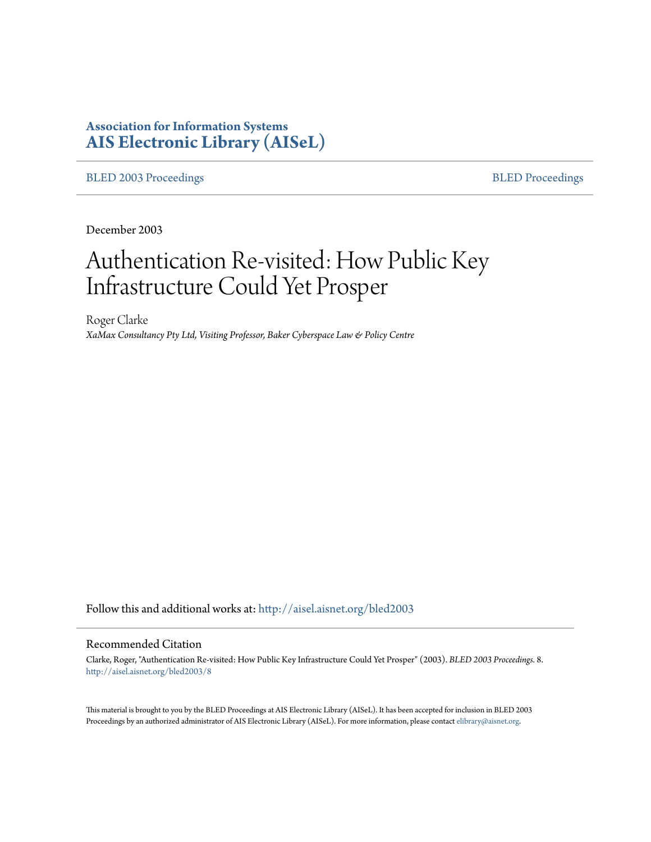# **Association for Information Systems [AIS Electronic Library \(AISeL\)](http://aisel.aisnet.org?utm_source=aisel.aisnet.org%2Fbled2003%2F8&utm_medium=PDF&utm_campaign=PDFCoverPages)**

[BLED 2003 Proceedings](http://aisel.aisnet.org/bled2003?utm_source=aisel.aisnet.org%2Fbled2003%2F8&utm_medium=PDF&utm_campaign=PDFCoverPages) **[BLED Proceedings](http://aisel.aisnet.org/bled?utm_source=aisel.aisnet.org%2Fbled2003%2F8&utm_medium=PDF&utm_campaign=PDFCoverPages)** 

December 2003

# Authentication Re-visited: How Public Key Infrastructure Could Yet Prosper

Roger Clarke *XaMax Consultancy Pty Ltd, Visiting Professor, Baker Cyberspace Law & Policy Centre*

Follow this and additional works at: [http://aisel.aisnet.org/bled2003](http://aisel.aisnet.org/bled2003?utm_source=aisel.aisnet.org%2Fbled2003%2F8&utm_medium=PDF&utm_campaign=PDFCoverPages)

#### Recommended Citation

Clarke, Roger, "Authentication Re-visited: How Public Key Infrastructure Could Yet Prosper" (2003). *BLED 2003 Proceedings*. 8. [http://aisel.aisnet.org/bled2003/8](http://aisel.aisnet.org/bled2003/8?utm_source=aisel.aisnet.org%2Fbled2003%2F8&utm_medium=PDF&utm_campaign=PDFCoverPages)

This material is brought to you by the BLED Proceedings at AIS Electronic Library (AISeL). It has been accepted for inclusion in BLED 2003 Proceedings by an authorized administrator of AIS Electronic Library (AISeL). For more information, please contact [elibrary@aisnet.org](mailto:elibrary@aisnet.org%3E).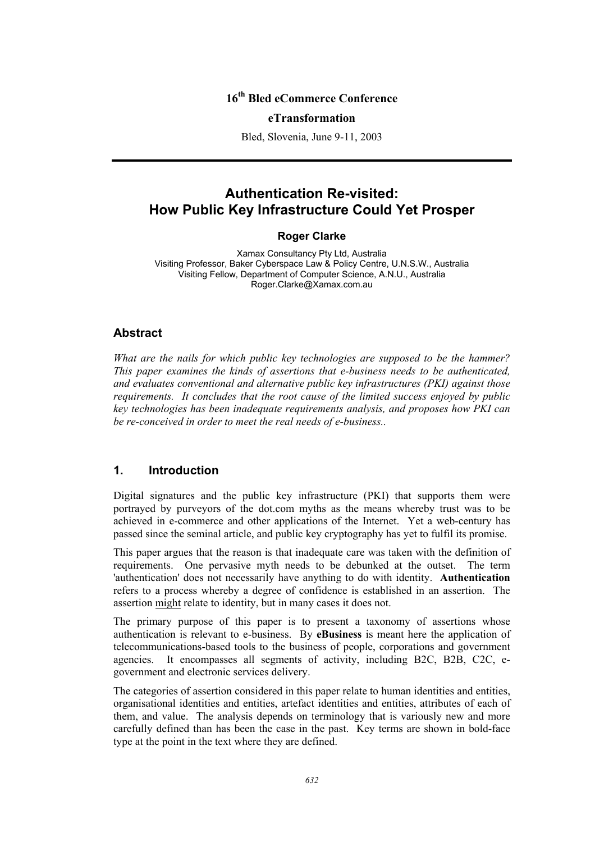# **16th Bled eCommerce Conference**

#### **eTransformation**

Bled, Slovenia, June 9-11, 2003

# **Authentication Re-visited: How Public Key Infrastructure Could Yet Prosper**

## **Roger Clarke**

Xamax Consultancy Pty Ltd, Australia Visiting Professor, Baker Cyberspace Law & Policy Centre, U.N.S.W., Australia Visiting Fellow, Department of Computer Science, A.N.U., Australia Roger.Clarke@Xamax.com.au

## **Abstract**

*What are the nails for which public key technologies are supposed to be the hammer? This paper examines the kinds of assertions that e-business needs to be authenticated, and evaluates conventional and alternative public key infrastructures (PKI) against those requirements. It concludes that the root cause of the limited success enjoyed by public key technologies has been inadequate requirements analysis, and proposes how PKI can be re-conceived in order to meet the real needs of e-business..* 

## **1. Introduction**

Digital signatures and the public key infrastructure (PKI) that supports them were portrayed by purveyors of the dot.com myths as the means whereby trust was to be achieved in e-commerce and other applications of the Internet. Yet a web-century has passed since the seminal article, and public key cryptography has yet to fulfil its promise.

This paper argues that the reason is that inadequate care was taken with the definition of requirements. One pervasive myth needs to be debunked at the outset. The term 'authentication' does not necessarily have anything to do with identity. **Authentication** refers to a process whereby a degree of confidence is established in an assertion. The assertion might relate to identity, but in many cases it does not.

The primary purpose of this paper is to present a taxonomy of assertions whose authentication is relevant to e-business. By **eBusiness** is meant here the application of telecommunications-based tools to the business of people, corporations and government agencies. It encompasses all segments of activity, including B2C, B2B, C2C, egovernment and electronic services delivery.

The categories of assertion considered in this paper relate to human identities and entities, organisational identities and entities, artefact identities and entities, attributes of each of them, and value. The analysis depends on terminology that is variously new and more carefully defined than has been the case in the past. Key terms are shown in bold-face type at the point in the text where they are defined.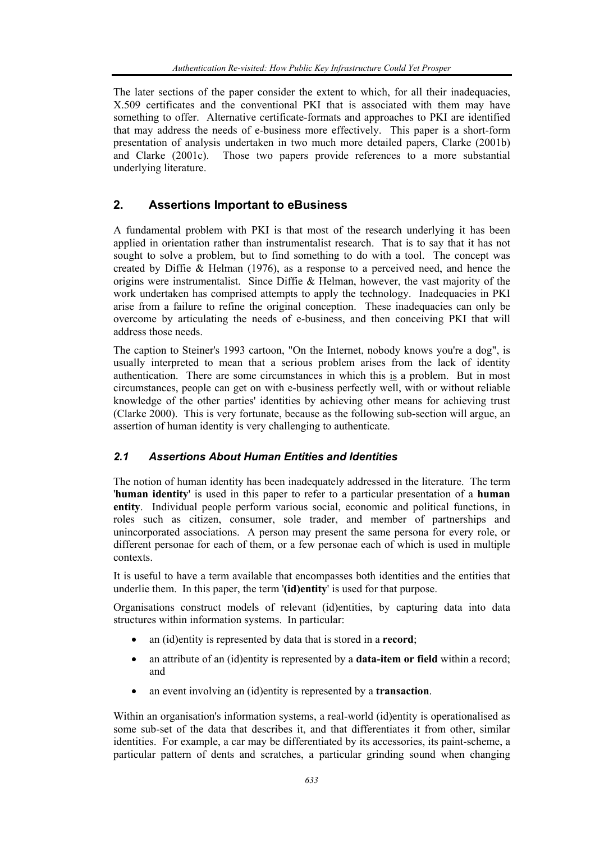The later sections of the paper consider the extent to which, for all their inadequacies, X.509 certificates and the conventional PKI that is associated with them may have something to offer. Alternative certificate-formats and approaches to PKI are identified that may address the needs of e-business more effectively. This paper is a short-form presentation of analysis undertaken in two much more detailed papers, Clarke (2001b) and Clarke (2001c). Those two papers provide references to a more substantial underlying literature.

# **2. Assertions Important to eBusiness**

A fundamental problem with PKI is that most of the research underlying it has been applied in orientation rather than instrumentalist research. That is to say that it has not sought to solve a problem, but to find something to do with a tool. The concept was created by Diffie & Helman (1976), as a response to a perceived need, and hence the origins were instrumentalist. Since Diffie & Helman, however, the vast majority of the work undertaken has comprised attempts to apply the technology. Inadequacies in PKI arise from a failure to refine the original conception. These inadequacies can only be overcome by articulating the needs of e-business, and then conceiving PKI that will address those needs.

The caption to Steiner's 1993 cartoon, "On the Internet, nobody knows you're a dog", is usually interpreted to mean that a serious problem arises from the lack of identity authentication. There are some circumstances in which this is a problem. But in most circumstances, people can get on with e-business perfectly well, with or without reliable knowledge of the other parties' identities by achieving other means for achieving trust (Clarke 2000). This is very fortunate, because as the following sub-section will argue, an assertion of human identity is very challenging to authenticate.

## *2.1 Assertions About Human Entities and Identities*

The notion of human identity has been inadequately addressed in the literature. The term '**human identity**' is used in this paper to refer to a particular presentation of a **human entity**. Individual people perform various social, economic and political functions, in roles such as citizen, consumer, sole trader, and member of partnerships and unincorporated associations. A person may present the same persona for every role, or different personae for each of them, or a few personae each of which is used in multiple contexts.

It is useful to have a term available that encompasses both identities and the entities that underlie them. In this paper, the term '**(id)entity**' is used for that purpose.

Organisations construct models of relevant (id)entities, by capturing data into data structures within information systems. In particular:

- an (id)entity is represented by data that is stored in a **record**;
- an attribute of an (id)entity is represented by a **data-item or field** within a record; and
- an event involving an (id)entity is represented by a **transaction**.

Within an organisation's information systems, a real-world (id)entity is operationalised as some sub-set of the data that describes it, and that differentiates it from other, similar identities. For example, a car may be differentiated by its accessories, its paint-scheme, a particular pattern of dents and scratches, a particular grinding sound when changing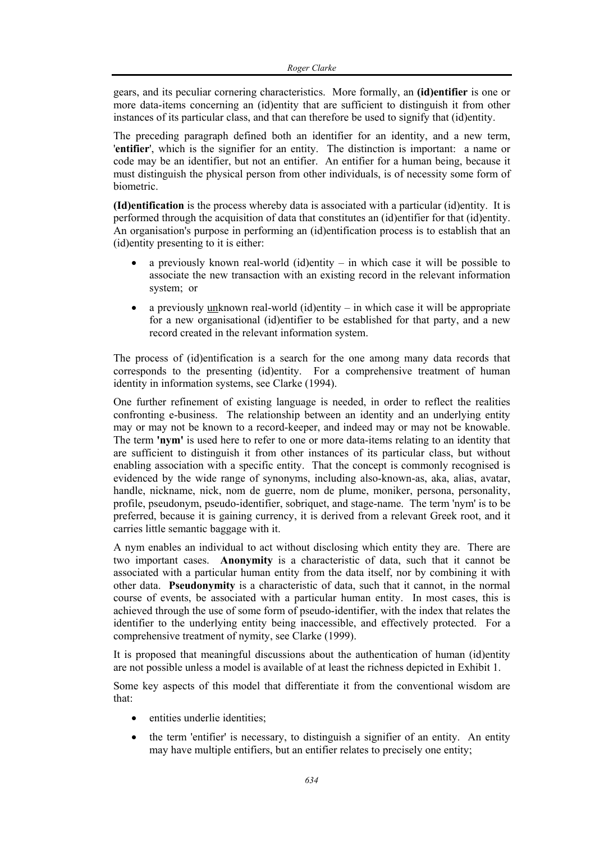gears, and its peculiar cornering characteristics. More formally, an **(id)entifier** is one or more data-items concerning an (id)entity that are sufficient to distinguish it from other instances of its particular class, and that can therefore be used to signify that (id)entity.

The preceding paragraph defined both an identifier for an identity, and a new term, '**entifier**', which is the signifier for an entity. The distinction is important: a name or code may be an identifier, but not an entifier. An entifier for a human being, because it must distinguish the physical person from other individuals, is of necessity some form of biometric.

**(Id)entification** is the process whereby data is associated with a particular (id)entity. It is performed through the acquisition of data that constitutes an (id)entifier for that (id)entity. An organisation's purpose in performing an (id)entification process is to establish that an (id)entity presenting to it is either:

- a previously known real-world (id)entity in which case it will be possible to associate the new transaction with an existing record in the relevant information system; or
- a previously  $unknown real-world (id)entity in which case it will be appropriate$ </u> for a new organisational (id)entifier to be established for that party, and a new record created in the relevant information system.

The process of (id)entification is a search for the one among many data records that corresponds to the presenting (id)entity. For a comprehensive treatment of human identity in information systems, see Clarke (1994).

One further refinement of existing language is needed, in order to reflect the realities confronting e-business. The relationship between an identity and an underlying entity may or may not be known to a record-keeper, and indeed may or may not be knowable. The term **'nym'** is used here to refer to one or more data-items relating to an identity that are sufficient to distinguish it from other instances of its particular class, but without enabling association with a specific entity. That the concept is commonly recognised is evidenced by the wide range of synonyms, including also-known-as, aka, alias, avatar, handle, nickname, nick, nom de guerre, nom de plume, moniker, persona, personality, profile, pseudonym, pseudo-identifier, sobriquet, and stage-name. The term 'nym' is to be preferred, because it is gaining currency, it is derived from a relevant Greek root, and it carries little semantic baggage with it.

A nym enables an individual to act without disclosing which entity they are. There are two important cases. **Anonymity** is a characteristic of data, such that it cannot be associated with a particular human entity from the data itself, nor by combining it with other data. **Pseudonymity** is a characteristic of data, such that it cannot, in the normal course of events, be associated with a particular human entity. In most cases, this is achieved through the use of some form of pseudo-identifier, with the index that relates the identifier to the underlying entity being inaccessible, and effectively protected. For a comprehensive treatment of nymity, see Clarke (1999).

It is proposed that meaningful discussions about the authentication of human (id)entity are not possible unless a model is available of at least the richness depicted in Exhibit 1.

Some key aspects of this model that differentiate it from the conventional wisdom are that:

- entities underlie identities:
- the term 'entifier' is necessary, to distinguish a signifier of an entity. An entity may have multiple entifiers, but an entifier relates to precisely one entity;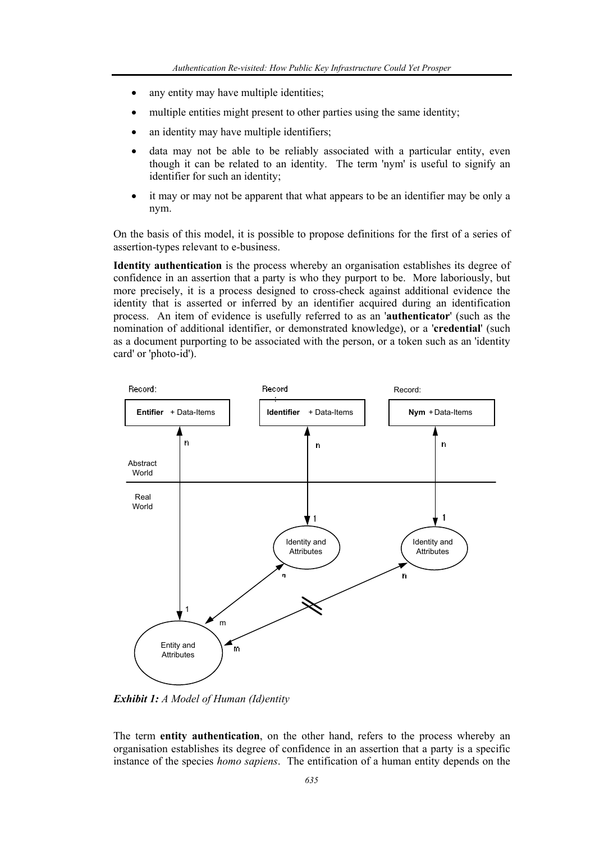- any entity may have multiple identities;
- multiple entities might present to other parties using the same identity;
- an identity may have multiple identifiers;
- data may not be able to be reliably associated with a particular entity, even though it can be related to an identity. The term 'nym' is useful to signify an identifier for such an identity;
- it may or may not be apparent that what appears to be an identifier may be only a nym.

On the basis of this model, it is possible to propose definitions for the first of a series of assertion-types relevant to e-business.

**Identity authentication** is the process whereby an organisation establishes its degree of confidence in an assertion that a party is who they purport to be. More laboriously, but more precisely, it is a process designed to cross-check against additional evidence the identity that is asserted or inferred by an identifier acquired during an identification process. An item of evidence is usefully referred to as an '**authenticator**' (such as the nomination of additional identifier, or demonstrated knowledge), or a '**credential**' (such as a document purporting to be associated with the person, or a token such as an 'identity card' or 'photo-id').



*Exhibit 1: A Model of Human (Id)entity* 

The term **entity authentication**, on the other hand, refers to the process whereby an organisation establishes its degree of confidence in an assertion that a party is a specific instance of the species *homo sapiens*. The entification of a human entity depends on the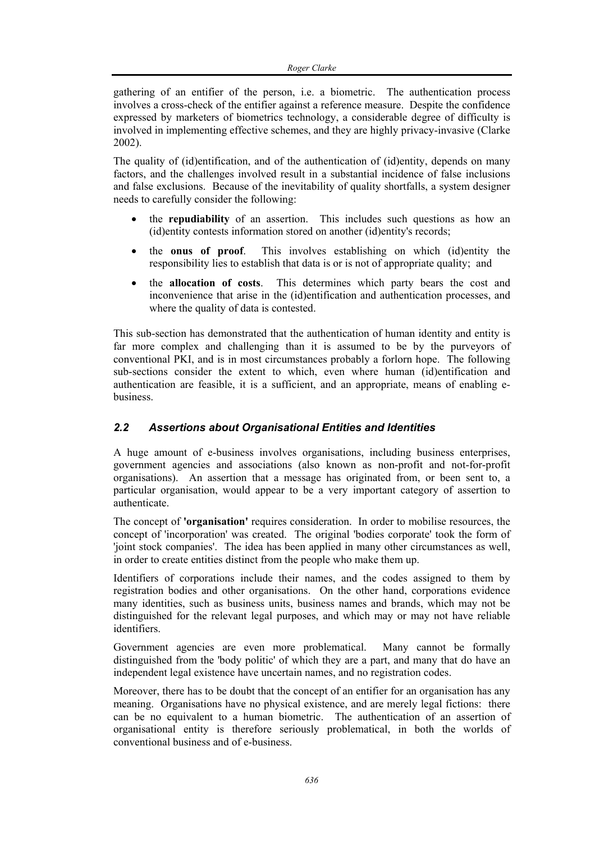gathering of an entifier of the person, i.e. a biometric. The authentication process involves a cross-check of the entifier against a reference measure. Despite the confidence expressed by marketers of biometrics technology, a considerable degree of difficulty is involved in implementing effective schemes, and they are highly privacy-invasive (Clarke 2002).

The quality of (id)entification, and of the authentication of (id)entity, depends on many factors, and the challenges involved result in a substantial incidence of false inclusions and false exclusions. Because of the inevitability of quality shortfalls, a system designer needs to carefully consider the following:

- the **repudiability** of an assertion. This includes such questions as how an (id)entity contests information stored on another (id)entity's records;
- the **onus of proof**. This involves establishing on which (id)entity the responsibility lies to establish that data is or is not of appropriate quality; and
- the **allocation of costs**. This determines which party bears the cost and inconvenience that arise in the (id)entification and authentication processes, and where the quality of data is contested.

This sub-section has demonstrated that the authentication of human identity and entity is far more complex and challenging than it is assumed to be by the purveyors of conventional PKI, and is in most circumstances probably a forlorn hope. The following sub-sections consider the extent to which, even where human (id)entification and authentication are feasible, it is a sufficient, and an appropriate, means of enabling ebusiness.

# *2.2 Assertions about Organisational Entities and Identities*

A huge amount of e-business involves organisations, including business enterprises, government agencies and associations (also known as non-profit and not-for-profit organisations). An assertion that a message has originated from, or been sent to, a particular organisation, would appear to be a very important category of assertion to authenticate.

The concept of **'organisation'** requires consideration. In order to mobilise resources, the concept of 'incorporation' was created. The original 'bodies corporate' took the form of 'joint stock companies'. The idea has been applied in many other circumstances as well, in order to create entities distinct from the people who make them up.

Identifiers of corporations include their names, and the codes assigned to them by registration bodies and other organisations. On the other hand, corporations evidence many identities, such as business units, business names and brands, which may not be distinguished for the relevant legal purposes, and which may or may not have reliable identifiers.

Government agencies are even more problematical. Many cannot be formally distinguished from the 'body politic' of which they are a part, and many that do have an independent legal existence have uncertain names, and no registration codes.

Moreover, there has to be doubt that the concept of an entifier for an organisation has any meaning. Organisations have no physical existence, and are merely legal fictions: there can be no equivalent to a human biometric. The authentication of an assertion of organisational entity is therefore seriously problematical, in both the worlds of conventional business and of e-business.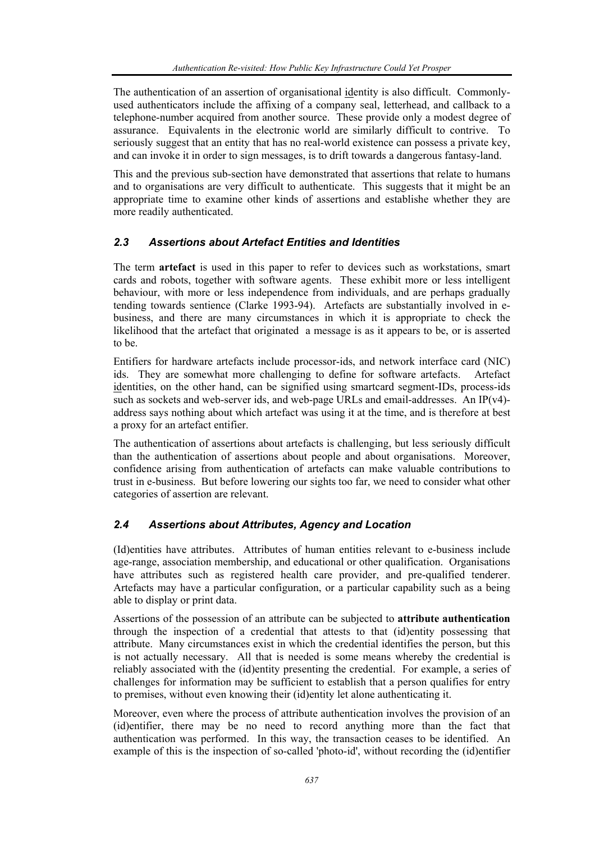The authentication of an assertion of organisational identity is also difficult. Commonlyused authenticators include the affixing of a company seal, letterhead, and callback to a telephone-number acquired from another source. These provide only a modest degree of assurance. Equivalents in the electronic world are similarly difficult to contrive. To seriously suggest that an entity that has no real-world existence can possess a private key, and can invoke it in order to sign messages, is to drift towards a dangerous fantasy-land.

This and the previous sub-section have demonstrated that assertions that relate to humans and to organisations are very difficult to authenticate. This suggests that it might be an appropriate time to examine other kinds of assertions and establishe whether they are more readily authenticated.

# *2.3 Assertions about Artefact Entities and Identities*

The term **artefact** is used in this paper to refer to devices such as workstations, smart cards and robots, together with software agents. These exhibit more or less intelligent behaviour, with more or less independence from individuals, and are perhaps gradually tending towards sentience (Clarke 1993-94). Artefacts are substantially involved in ebusiness, and there are many circumstances in which it is appropriate to check the likelihood that the artefact that originated a message is as it appears to be, or is asserted to be.

Entifiers for hardware artefacts include processor-ids, and network interface card (NIC) ids. They are somewhat more challenging to define for software artefacts. Artefact identities, on the other hand, can be signified using smartcard segment-IDs, process-ids such as sockets and web-server ids, and web-page URLs and email-addresses. An IP $(v4)$ address says nothing about which artefact was using it at the time, and is therefore at best a proxy for an artefact entifier.

The authentication of assertions about artefacts is challenging, but less seriously difficult than the authentication of assertions about people and about organisations. Moreover, confidence arising from authentication of artefacts can make valuable contributions to trust in e-business. But before lowering our sights too far, we need to consider what other categories of assertion are relevant.

# *2.4 Assertions about Attributes, Agency and Location*

(Id)entities have attributes. Attributes of human entities relevant to e-business include age-range, association membership, and educational or other qualification. Organisations have attributes such as registered health care provider, and pre-qualified tenderer. Artefacts may have a particular configuration, or a particular capability such as a being able to display or print data.

Assertions of the possession of an attribute can be subjected to **attribute authentication** through the inspection of a credential that attests to that (id)entity possessing that attribute. Many circumstances exist in which the credential identifies the person, but this is not actually necessary. All that is needed is some means whereby the credential is reliably associated with the (id)entity presenting the credential. For example, a series of challenges for information may be sufficient to establish that a person qualifies for entry to premises, without even knowing their (id)entity let alone authenticating it.

Moreover, even where the process of attribute authentication involves the provision of an (id)entifier, there may be no need to record anything more than the fact that authentication was performed. In this way, the transaction ceases to be identified. An example of this is the inspection of so-called 'photo-id', without recording the (id)entifier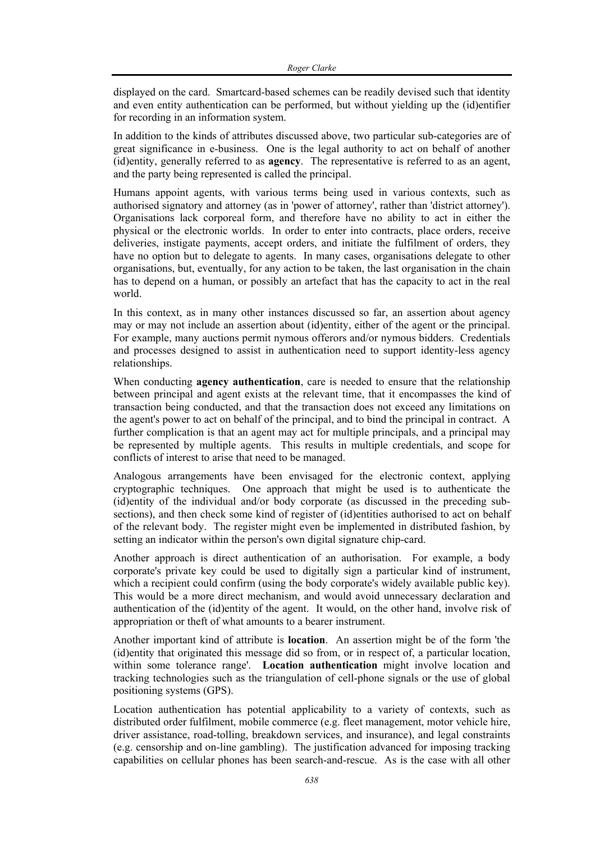displayed on the card. Smartcard-based schemes can be readily devised such that identity and even entity authentication can be performed, but without yielding up the (id)entifier for recording in an information system.

In addition to the kinds of attributes discussed above, two particular sub-categories are of great significance in e-business. One is the legal authority to act on behalf of another (id)entity, generally referred to as **agency**. The representative is referred to as an agent, and the party being represented is called the principal.

Humans appoint agents, with various terms being used in various contexts, such as authorised signatory and attorney (as in 'power of attorney', rather than 'district attorney'). Organisations lack corporeal form, and therefore have no ability to act in either the physical or the electronic worlds. In order to enter into contracts, place orders, receive deliveries, instigate payments, accept orders, and initiate the fulfilment of orders, they have no option but to delegate to agents. In many cases, organisations delegate to other organisations, but, eventually, for any action to be taken, the last organisation in the chain has to depend on a human, or possibly an artefact that has the capacity to act in the real world.

In this context, as in many other instances discussed so far, an assertion about agency may or may not include an assertion about (id)entity, either of the agent or the principal. For example, many auctions permit nymous offerors and/or nymous bidders. Credentials and processes designed to assist in authentication need to support identity-less agency relationships.

When conducting **agency authentication**, care is needed to ensure that the relationship between principal and agent exists at the relevant time, that it encompasses the kind of transaction being conducted, and that the transaction does not exceed any limitations on the agent's power to act on behalf of the principal, and to bind the principal in contract. A further complication is that an agent may act for multiple principals, and a principal may be represented by multiple agents. This results in multiple credentials, and scope for conflicts of interest to arise that need to be managed.

Analogous arrangements have been envisaged for the electronic context, applying cryptographic techniques. One approach that might be used is to authenticate the (id)entity of the individual and/or body corporate (as discussed in the preceding subsections), and then check some kind of register of (id)entities authorised to act on behalf of the relevant body. The register might even be implemented in distributed fashion, by setting an indicator within the person's own digital signature chip-card.

Another approach is direct authentication of an authorisation. For example, a body corporate's private key could be used to digitally sign a particular kind of instrument, which a recipient could confirm (using the body corporate's widely available public key). This would be a more direct mechanism, and would avoid unnecessary declaration and authentication of the (id)entity of the agent. It would, on the other hand, involve risk of appropriation or theft of what amounts to a bearer instrument.

Another important kind of attribute is **location**. An assertion might be of the form 'the (id)entity that originated this message did so from, or in respect of, a particular location, within some tolerance range'. **Location authentication** might involve location and tracking technologies such as the triangulation of cell-phone signals or the use of global positioning systems (GPS).

Location authentication has potential applicability to a variety of contexts, such as distributed order fulfilment, mobile commerce (e.g. fleet management, motor vehicle hire, driver assistance, road-tolling, breakdown services, and insurance), and legal constraints (e.g. censorship and on-line gambling). The justification advanced for imposing tracking capabilities on cellular phones has been search-and-rescue. As is the case with all other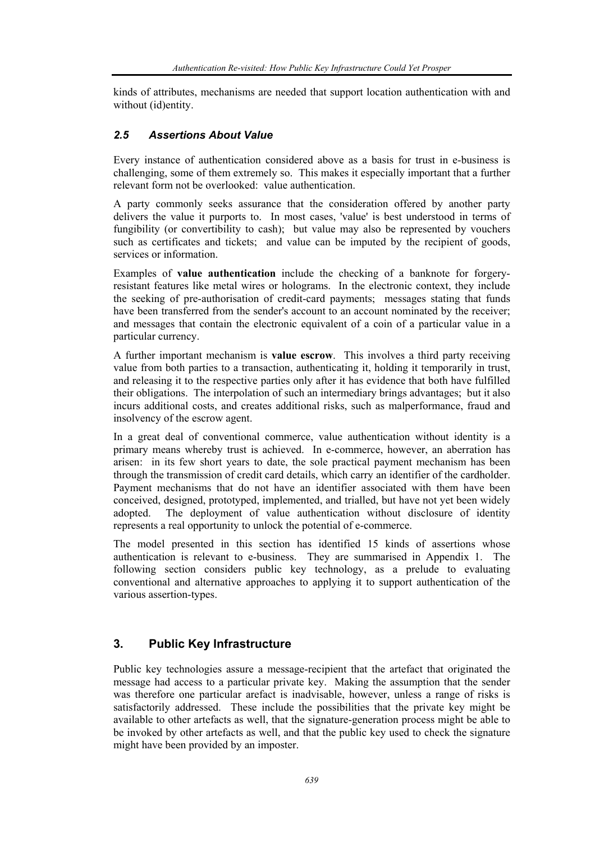kinds of attributes, mechanisms are needed that support location authentication with and without (id)entity.

# *2.5 Assertions About Value*

Every instance of authentication considered above as a basis for trust in e-business is challenging, some of them extremely so. This makes it especially important that a further relevant form not be overlooked: value authentication.

A party commonly seeks assurance that the consideration offered by another party delivers the value it purports to. In most cases, 'value' is best understood in terms of fungibility (or convertibility to cash); but value may also be represented by vouchers such as certificates and tickets; and value can be imputed by the recipient of goods, services or information.

Examples of **value authentication** include the checking of a banknote for forgeryresistant features like metal wires or holograms. In the electronic context, they include the seeking of pre-authorisation of credit-card payments; messages stating that funds have been transferred from the sender's account to an account nominated by the receiver; and messages that contain the electronic equivalent of a coin of a particular value in a particular currency.

A further important mechanism is **value escrow**. This involves a third party receiving value from both parties to a transaction, authenticating it, holding it temporarily in trust, and releasing it to the respective parties only after it has evidence that both have fulfilled their obligations. The interpolation of such an intermediary brings advantages; but it also incurs additional costs, and creates additional risks, such as malperformance, fraud and insolvency of the escrow agent.

In a great deal of conventional commerce, value authentication without identity is a primary means whereby trust is achieved. In e-commerce, however, an aberration has arisen: in its few short years to date, the sole practical payment mechanism has been through the transmission of credit card details, which carry an identifier of the cardholder. Payment mechanisms that do not have an identifier associated with them have been conceived, designed, prototyped, implemented, and trialled, but have not yet been widely adopted. The deployment of value authentication without disclosure of identity represents a real opportunity to unlock the potential of e-commerce.

The model presented in this section has identified 15 kinds of assertions whose authentication is relevant to e-business. They are summarised in Appendix 1. The following section considers public key technology, as a prelude to evaluating conventional and alternative approaches to applying it to support authentication of the various assertion-types.

# **3. Public Key Infrastructure**

Public key technologies assure a message-recipient that the artefact that originated the message had access to a particular private key. Making the assumption that the sender was therefore one particular arefact is inadvisable, however, unless a range of risks is satisfactorily addressed. These include the possibilities that the private key might be available to other artefacts as well, that the signature-generation process might be able to be invoked by other artefacts as well, and that the public key used to check the signature might have been provided by an imposter.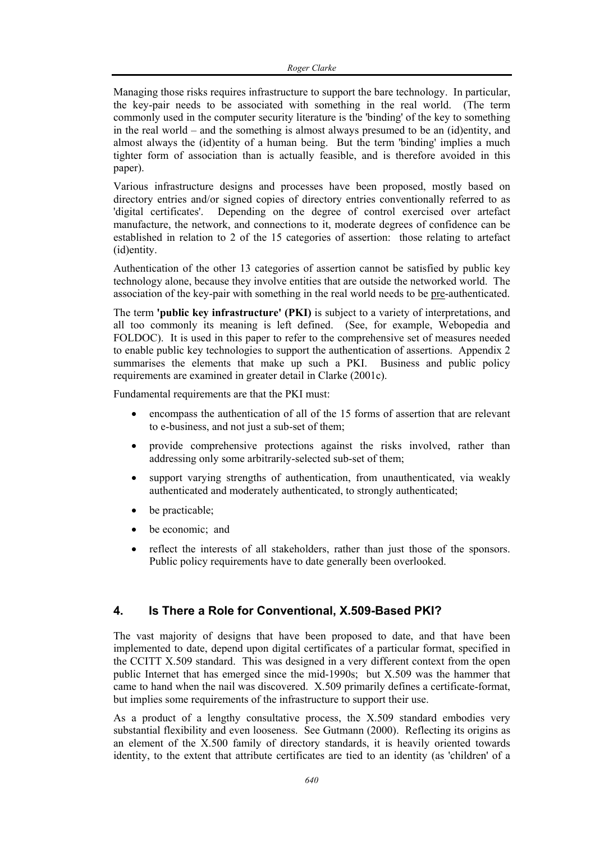Managing those risks requires infrastructure to support the bare technology. In particular, the key-pair needs to be associated with something in the real world. (The term commonly used in the computer security literature is the 'binding' of the key to something in the real world – and the something is almost always presumed to be an (id)entity, and almost always the (id)entity of a human being. But the term 'binding' implies a much tighter form of association than is actually feasible, and is therefore avoided in this paper).

Various infrastructure designs and processes have been proposed, mostly based on directory entries and/or signed copies of directory entries conventionally referred to as 'digital certificates'. Depending on the degree of control exercised over artefact manufacture, the network, and connections to it, moderate degrees of confidence can be established in relation to 2 of the 15 categories of assertion: those relating to artefact (id)entity.

Authentication of the other 13 categories of assertion cannot be satisfied by public key technology alone, because they involve entities that are outside the networked world. The association of the key-pair with something in the real world needs to be pre-authenticated.

The term **'public key infrastructure' (PKI)** is subject to a variety of interpretations, and all too commonly its meaning is left defined. (See, for example, Webopedia and FOLDOC). It is used in this paper to refer to the comprehensive set of measures needed to enable public key technologies to support the authentication of assertions. Appendix 2 summarises the elements that make up such a PKI. Business and public policy requirements are examined in greater detail in Clarke (2001c).

Fundamental requirements are that the PKI must:

- encompass the authentication of all of the 15 forms of assertion that are relevant to e-business, and not just a sub-set of them;
- provide comprehensive protections against the risks involved, rather than addressing only some arbitrarily-selected sub-set of them;
- support varying strengths of authentication, from unauthenticated, via weakly authenticated and moderately authenticated, to strongly authenticated;
- be practicable;
- be economic; and
- reflect the interests of all stakeholders, rather than just those of the sponsors. Public policy requirements have to date generally been overlooked.

# **4. Is There a Role for Conventional, X.509-Based PKI?**

The vast majority of designs that have been proposed to date, and that have been implemented to date, depend upon digital certificates of a particular format, specified in the CCITT X.509 standard. This was designed in a very different context from the open public Internet that has emerged since the mid-1990s; but X.509 was the hammer that came to hand when the nail was discovered. X.509 primarily defines a certificate-format, but implies some requirements of the infrastructure to support their use.

As a product of a lengthy consultative process, the X.509 standard embodies very substantial flexibility and even looseness. See Gutmann (2000). Reflecting its origins as an element of the X.500 family of directory standards, it is heavily oriented towards identity, to the extent that attribute certificates are tied to an identity (as 'children' of a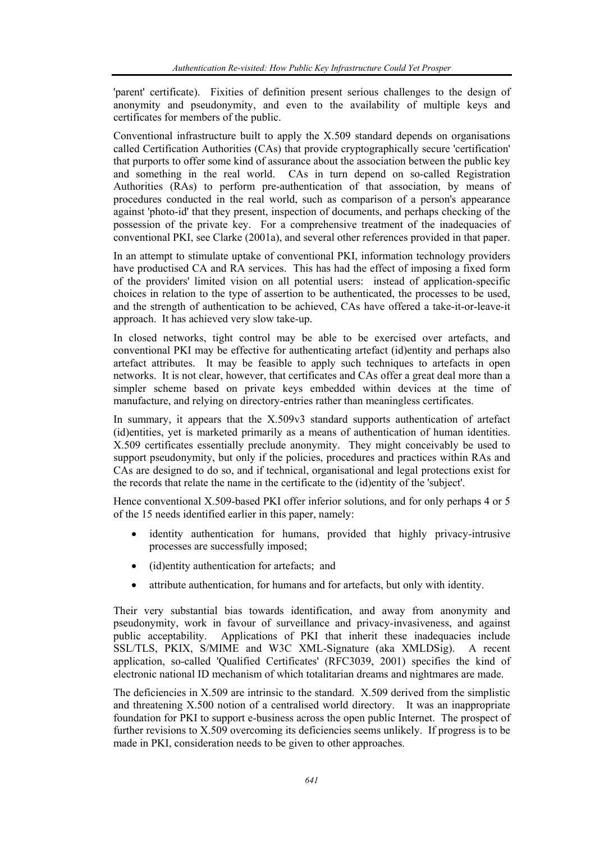'parent' certificate). Fixities of definition present serious challenges to the design of anonymity and pseudonymity, and even to the availability of multiple keys and certificates for members of the public.

Conventional infrastructure built to apply the X.509 standard depends on organisations called Certification Authorities (CAs) that provide cryptographically secure 'certification' that purports to offer some kind of assurance about the association between the public key and something in the real world. CAs in turn depend on so-called Registration Authorities (RAs) to perform pre-authentication of that association, by means of procedures conducted in the real world, such as comparison of a person's appearance against 'photo-id' that they present, inspection of documents, and perhaps checking of the possession of the private key. For a comprehensive treatment of the inadequacies of conventional PKI, see Clarke (2001a), and several other references provided in that paper.

In an attempt to stimulate uptake of conventional PKI, information technology providers have productised CA and RA services. This has had the effect of imposing a fixed form of the providers' limited vision on all potential users: instead of application-specific choices in relation to the type of assertion to be authenticated, the processes to be used, and the strength of authentication to be achieved, CAs have offered a take-it-or-leave-it approach. It has achieved very slow take-up.

In closed networks, tight control may be able to be exercised over artefacts, and conventional PKI may be effective for authenticating artefact (id)entity and perhaps also artefact attributes. It may be feasible to apply such techniques to artefacts in open networks. It is not clear, however, that certificates and CAs offer a great deal more than a simpler scheme based on private keys embedded within devices at the time of manufacture, and relying on directory-entries rather than meaningless certificates.

In summary, it appears that the X.509v3 standard supports authentication of artefact (id)entities, yet is marketed primarily as a means of authentication of human identities. X.509 certificates essentially preclude anonymity. They might conceivably be used to support pseudonymity, but only if the policies, procedures and practices within RAs and CAs are designed to do so, and if technical, organisational and legal protections exist for the records that relate the name in the certificate to the (id)entity of the 'subject'.

Hence conventional X.509-based PKI offer inferior solutions, and for only perhaps 4 or 5 of the 15 needs identified earlier in this paper, namely:

- identity authentication for humans, provided that highly privacy-intrusive processes are successfully imposed;
- (id)entity authentication for artefacts; and
- attribute authentication, for humans and for artefacts, but only with identity.

Their very substantial bias towards identification, and away from anonymity and pseudonymity, work in favour of surveillance and privacy-invasiveness, and against public acceptability. Applications of PKI that inherit these inadequacies include SSL/TLS, PKIX, S/MIME and W3C XML-Signature (aka XMLDSig). A recent application, so-called 'Qualified Certificates' (RFC3039, 2001) specifies the kind of electronic national ID mechanism of which totalitarian dreams and nightmares are made.

The deficiencies in X.509 are intrinsic to the standard. X.509 derived from the simplistic and threatening X.500 notion of a centralised world directory. It was an inappropriate foundation for PKI to support e-business across the open public Internet. The prospect of further revisions to X.509 overcoming its deficiencies seems unlikely. If progress is to be made in PKI, consideration needs to be given to other approaches.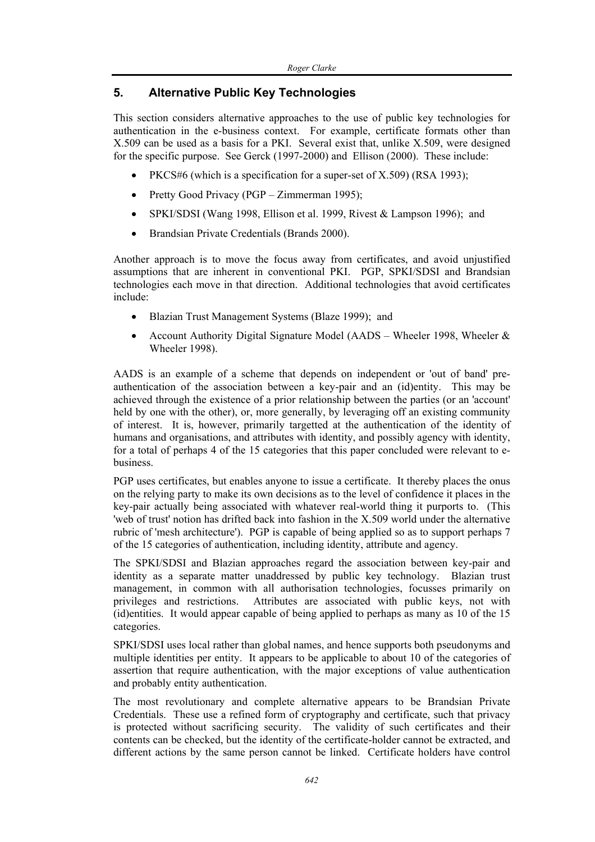# **5. Alternative Public Key Technologies**

This section considers alternative approaches to the use of public key technologies for authentication in the e-business context. For example, certificate formats other than X.509 can be used as a basis for a PKI. Several exist that, unlike X.509, were designed for the specific purpose. See Gerck (1997-2000) and Ellison (2000). These include:

- PKCS#6 (which is a specification for a super-set of X.509) (RSA 1993);
- Pretty Good Privacy (PGP Zimmerman 1995);
- SPKI/SDSI (Wang 1998, Ellison et al. 1999, Rivest & Lampson 1996); and
- Brandsian Private Credentials (Brands 2000).

Another approach is to move the focus away from certificates, and avoid unjustified assumptions that are inherent in conventional PKI. PGP, SPKI/SDSI and Brandsian technologies each move in that direction. Additional technologies that avoid certificates include:

- Blazian Trust Management Systems (Blaze 1999); and
- Account Authority Digital Signature Model (AADS Wheeler 1998, Wheeler & Wheeler 1998).

AADS is an example of a scheme that depends on independent or 'out of band' preauthentication of the association between a key-pair and an (id)entity. This may be achieved through the existence of a prior relationship between the parties (or an 'account' held by one with the other), or, more generally, by leveraging off an existing community of interest. It is, however, primarily targetted at the authentication of the identity of humans and organisations, and attributes with identity, and possibly agency with identity, for a total of perhaps 4 of the 15 categories that this paper concluded were relevant to ebusiness.

PGP uses certificates, but enables anyone to issue a certificate. It thereby places the onus on the relying party to make its own decisions as to the level of confidence it places in the key-pair actually being associated with whatever real-world thing it purports to. (This 'web of trust' notion has drifted back into fashion in the X.509 world under the alternative rubric of 'mesh architecture'). PGP is capable of being applied so as to support perhaps 7 of the 15 categories of authentication, including identity, attribute and agency.

The SPKI/SDSI and Blazian approaches regard the association between key-pair and identity as a separate matter unaddressed by public key technology. Blazian trust management, in common with all authorisation technologies, focusses primarily on privileges and restrictions. Attributes are associated with public keys, not with (id)entities. It would appear capable of being applied to perhaps as many as 10 of the 15 categories.

SPKI/SDSI uses local rather than global names, and hence supports both pseudonyms and multiple identities per entity. It appears to be applicable to about 10 of the categories of assertion that require authentication, with the major exceptions of value authentication and probably entity authentication.

The most revolutionary and complete alternative appears to be Brandsian Private Credentials. These use a refined form of cryptography and certificate, such that privacy is protected without sacrificing security. The validity of such certificates and their contents can be checked, but the identity of the certificate-holder cannot be extracted, and different actions by the same person cannot be linked. Certificate holders have control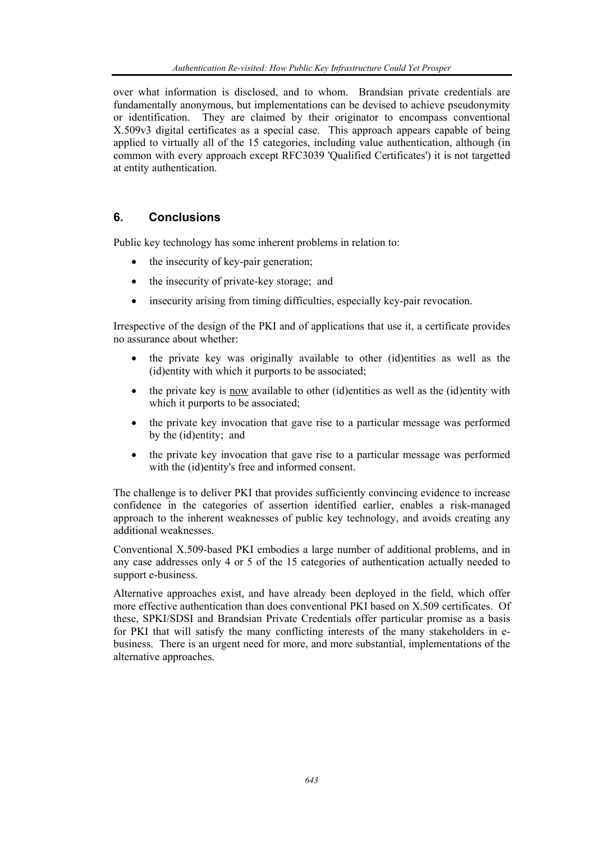over what information is disclosed, and to whom. Brandsian private credentials are fundamentally anonymous, but implementations can be devised to achieve pseudonymity or identification. They are claimed by their originator to encompass conventional X.509v3 digital certificates as a special case. This approach appears capable of being applied to virtually all of the 15 categories, including value authentication, although (in common with every approach except RFC3039 'Qualified Certificates') it is not targetted at entity authentication.

# **6. Conclusions**

Public key technology has some inherent problems in relation to:

- the insecurity of key-pair generation;
- the insecurity of private-key storage; and
- insecurity arising from timing difficulties, especially key-pair revocation.

Irrespective of the design of the PKI and of applications that use it, a certificate provides no assurance about whether:

- the private key was originally available to other (id)entities as well as the (id)entity with which it purports to be associated;
- the private key is now available to other (id)entities as well as the (id)entity with which it purports to be associated;
- the private key invocation that gave rise to a particular message was performed by the (id)entity; and
- the private key invocation that gave rise to a particular message was performed with the (id)entity's free and informed consent.

The challenge is to deliver PKI that provides sufficiently convincing evidence to increase confidence in the categories of assertion identified earlier, enables a risk-managed approach to the inherent weaknesses of public key technology, and avoids creating any additional weaknesses.

Conventional X.509-based PKI embodies a large number of additional problems, and in any case addresses only 4 or 5 of the 15 categories of authentication actually needed to support e-business.

Alternative approaches exist, and have already been deployed in the field, which offer more effective authentication than does conventional PKI based on X.509 certificates. Of these, SPKI/SDSI and Brandsian Private Credentials offer particular promise as a basis for PKI that will satisfy the many conflicting interests of the many stakeholders in ebusiness. There is an urgent need for more, and more substantial, implementations of the alternative approaches.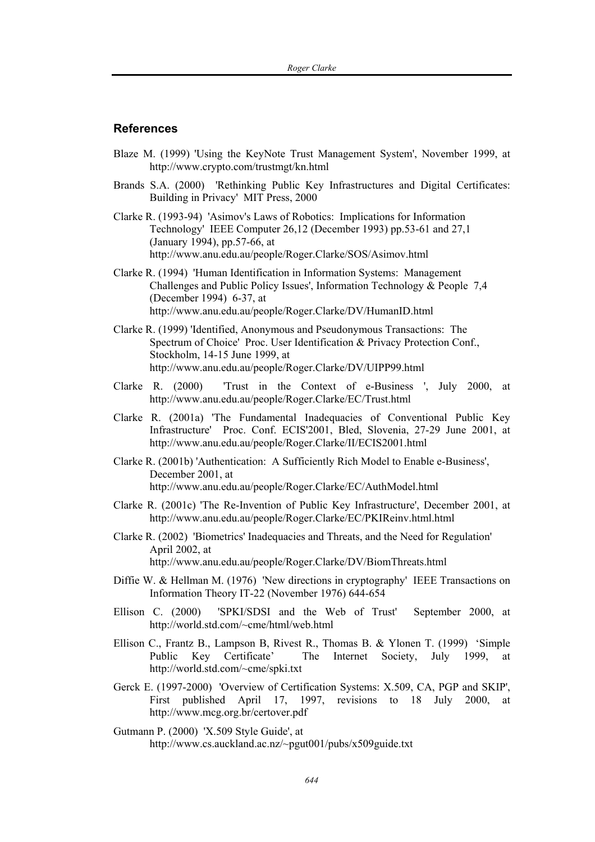### **References**

- Blaze M. (1999) 'Using the KeyNote Trust Management System', November 1999, at http://www.crypto.com/trustmgt/kn.html
- Brands S.A. (2000) 'Rethinking Public Key Infrastructures and Digital Certificates: Building in Privacy' MIT Press, 2000
- Clarke R. (1993-94) 'Asimov's Laws of Robotics: Implications for Information Technology' IEEE Computer 26,12 (December 1993) pp.53-61 and 27,1 (January 1994), pp.57-66, at http://www.anu.edu.au/people/Roger.Clarke/SOS/Asimov.html
- Clarke R. (1994) 'Human Identification in Information Systems: Management Challenges and Public Policy Issues', Information Technology & People 7,4 (December 1994) 6-37, at http://www.anu.edu.au/people/Roger.Clarke/DV/HumanID.html
- Clarke R. (1999) 'Identified, Anonymous and Pseudonymous Transactions: The Spectrum of Choice' Proc. User Identification & Privacy Protection Conf., Stockholm, 14-15 June 1999, at http://www.anu.edu.au/people/Roger.Clarke/DV/UIPP99.html
- Clarke R. (2000) 'Trust in the Context of e-Business ', July 2000, at http://www.anu.edu.au/people/Roger.Clarke/EC/Trust.html
- Clarke R. (2001a) 'The Fundamental Inadequacies of Conventional Public Key Infrastructure' Proc. Conf. ECIS'2001, Bled, Slovenia, 27-29 June 2001, at http://www.anu.edu.au/people/Roger.Clarke/II/ECIS2001.html
- Clarke R. (2001b) 'Authentication: A Sufficiently Rich Model to Enable e-Business', December 2001, at http://www.anu.edu.au/people/Roger.Clarke/EC/AuthModel.html
- Clarke R. (2001c) 'The Re-Invention of Public Key Infrastructure', December 2001, at http://www.anu.edu.au/people/Roger.Clarke/EC/PKIReinv.html.html
- Clarke R. (2002) 'Biometrics' Inadequacies and Threats, and the Need for Regulation' April 2002, at http://www.anu.edu.au/people/Roger.Clarke/DV/BiomThreats.html
- Diffie W. & Hellman M. (1976) 'New directions in cryptography' IEEE Transactions on Information Theory IT-22 (November 1976) 644-654
- Ellison C. (2000) 'SPKI/SDSI and the Web of Trust' September 2000, at http://world.std.com/~cme/html/web.html
- Ellison C., Frantz B., Lampson B, Rivest R., Thomas B. & Ylonen T. (1999) 'Simple Public Key Certificate' The Internet Society, July 1999, at http://world.std.com/~cme/spki.txt
- Gerck E. (1997-2000) 'Overview of Certification Systems: X.509, CA, PGP and SKIP', First published April 17, 1997, revisions to 18 July 2000, at http://www.mcg.org.br/certover.pdf
- Gutmann P. (2000) 'X.509 Style Guide', at http://www.cs.auckland.ac.nz/~pgut001/pubs/x509guide.txt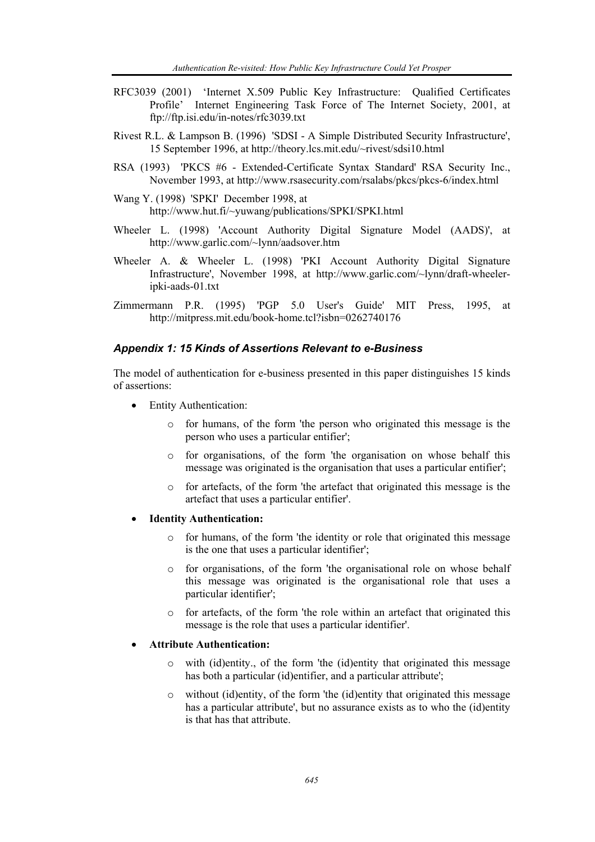- RFC3039 (2001) 'Internet X.509 Public Key Infrastructure: Qualified Certificates Profile' Internet Engineering Task Force of The Internet Society, 2001, at ftp://ftp.isi.edu/in-notes/rfc3039.txt
- Rivest R.L. & Lampson B. (1996) 'SDSI A Simple Distributed Security Infrastructure', 15 September 1996, at http://theory.lcs.mit.edu/~rivest/sdsi10.html
- RSA (1993) 'PKCS #6 Extended-Certificate Syntax Standard' RSA Security Inc., November 1993, at http://www.rsasecurity.com/rsalabs/pkcs/pkcs-6/index.html
- Wang Y. (1998) 'SPKI' December 1998, at http://www.hut.fi/~yuwang/publications/SPKI/SPKI.html
- Wheeler L. (1998) 'Account Authority Digital Signature Model (AADS)', at http://www.garlic.com/~lynn/aadsover.htm
- Wheeler A. & Wheeler L. (1998) 'PKI Account Authority Digital Signature Infrastructure', November 1998, at http://www.garlic.com/~lynn/draft-wheeleripki-aads-01.txt
- Zimmermann P.R. (1995) 'PGP 5.0 User's Guide' MIT Press, 1995, at http://mitpress.mit.edu/book-home.tcl?isbn=0262740176

### *Appendix 1: 15 Kinds of Assertions Relevant to e-Business*

The model of authentication for e-business presented in this paper distinguishes 15 kinds of assertions:

- **Entity Authentication:** 
	- o for humans, of the form 'the person who originated this message is the person who uses a particular entifier';
	- o for organisations, of the form 'the organisation on whose behalf this message was originated is the organisation that uses a particular entifier';
	- o for artefacts, of the form 'the artefact that originated this message is the artefact that uses a particular entifier'.
- **Identity Authentication:** 
	- o for humans, of the form 'the identity or role that originated this message is the one that uses a particular identifier';
	- o for organisations, of the form 'the organisational role on whose behalf this message was originated is the organisational role that uses a particular identifier';
	- o for artefacts, of the form 'the role within an artefact that originated this message is the role that uses a particular identifier'.

#### • **Attribute Authentication:**

- o with (id)entity., of the form 'the (id)entity that originated this message has both a particular (id)entifier, and a particular attribute';
- o without (id)entity, of the form 'the (id)entity that originated this message has a particular attribute', but no assurance exists as to who the (id)entity is that has that attribute.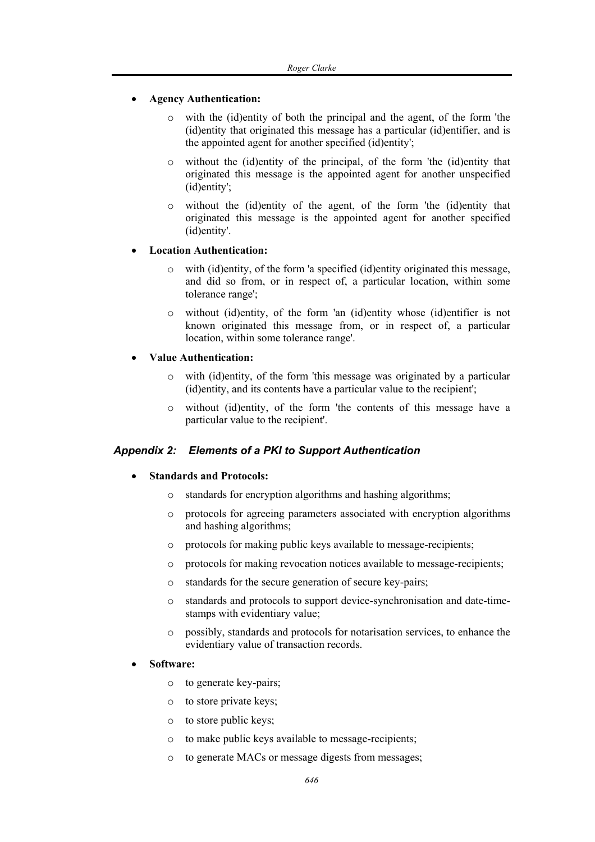## • **Agency Authentication:**

- o with the (id)entity of both the principal and the agent, of the form 'the (id)entity that originated this message has a particular (id)entifier, and is the appointed agent for another specified (id)entity';
- o without the (id)entity of the principal, of the form 'the (id)entity that originated this message is the appointed agent for another unspecified (id)entity';
- o without the (id)entity of the agent, of the form 'the (id)entity that originated this message is the appointed agent for another specified (id)entity'.

### • **Location Authentication:**

- o with (id)entity, of the form 'a specified (id)entity originated this message, and did so from, or in respect of, a particular location, within some tolerance range';
- o without (id)entity, of the form 'an (id)entity whose (id)entifier is not known originated this message from, or in respect of, a particular location, within some tolerance range'.

### • **Value Authentication:**

- o with (id)entity, of the form 'this message was originated by a particular (id)entity, and its contents have a particular value to the recipient';
- o without (id)entity, of the form 'the contents of this message have a particular value to the recipient'.

## *Appendix 2: Elements of a PKI to Support Authentication*

## • **Standards and Protocols:**

- o standards for encryption algorithms and hashing algorithms;
- o protocols for agreeing parameters associated with encryption algorithms and hashing algorithms;
- o protocols for making public keys available to message-recipients;
- o protocols for making revocation notices available to message-recipients;
- o standards for the secure generation of secure key-pairs;
- o standards and protocols to support device-synchronisation and date-timestamps with evidentiary value;
- o possibly, standards and protocols for notarisation services, to enhance the evidentiary value of transaction records.

### • **Software:**

- o to generate key-pairs;
- o to store private keys;
- o to store public keys;
- o to make public keys available to message-recipients;
- o to generate MACs or message digests from messages;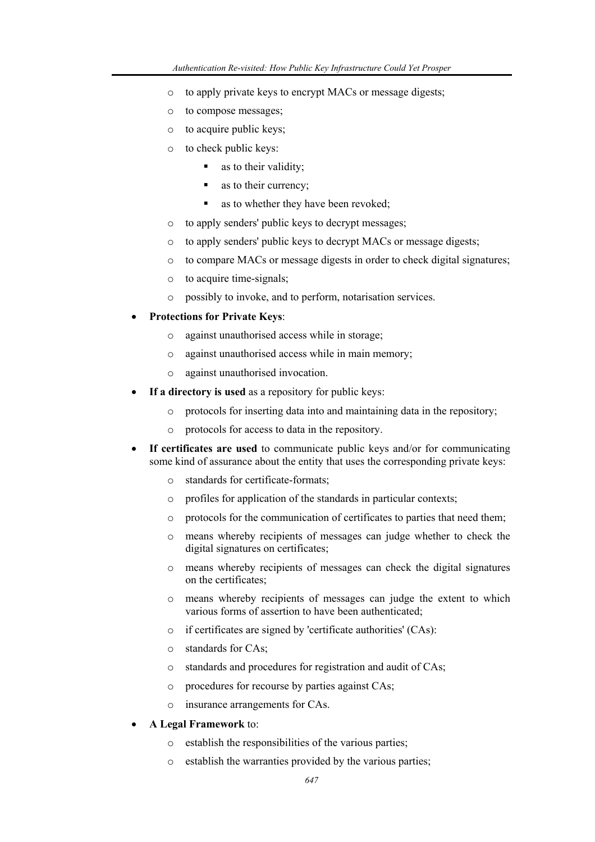- o to apply private keys to encrypt MACs or message digests;
- o to compose messages;
- o to acquire public keys;
- o to check public keys:
	- as to their validity;
	- as to their currency;
	- as to whether they have been revoked;
- o to apply senders' public keys to decrypt messages;
- o to apply senders' public keys to decrypt MACs or message digests;
- o to compare MACs or message digests in order to check digital signatures;
- o to acquire time-signals;
- o possibly to invoke, and to perform, notarisation services.
- **Protections for Private Keys**:
	- o against unauthorised access while in storage;
	- o against unauthorised access while in main memory;
	- o against unauthorised invocation.
- If a directory is used as a repository for public keys:
	- o protocols for inserting data into and maintaining data in the repository;
	- o protocols for access to data in the repository.
- **If certificates are used** to communicate public keys and/or for communicating some kind of assurance about the entity that uses the corresponding private keys:
	- o standards for certificate-formats;
	- o profiles for application of the standards in particular contexts;
	- o protocols for the communication of certificates to parties that need them;
	- o means whereby recipients of messages can judge whether to check the digital signatures on certificates;
	- o means whereby recipients of messages can check the digital signatures on the certificates;
	- o means whereby recipients of messages can judge the extent to which various forms of assertion to have been authenticated;
	- o if certificates are signed by 'certificate authorities' (CAs):
	- o standards for CAs;
	- o standards and procedures for registration and audit of CAs;
	- o procedures for recourse by parties against CAs;
	- o insurance arrangements for CAs.
- **A Legal Framework** to:
	- o establish the responsibilities of the various parties;
	- o establish the warranties provided by the various parties;